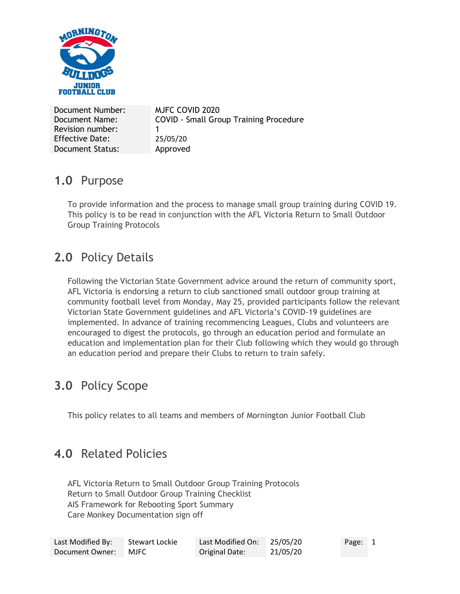

Document Number: MJFC COVID 2020 Document Name: Revision number: COVID - Small Group Training Procedure 1 Effective Date: 25/05/20 Document Status: Approved

### **1.0** Purpose

To provide information and the process to manage small group training during COVID 19. This policy is to be read in conjunction with the AFL Victoria Return to Small Outdoor Group Training Protocols

# **2.0** Policy Details

Following the Victorian State Government advice around the return of community sport, AFL Victoria is endorsing a return to club sanctioned small outdoor group training at community football level from Monday, May 25, provided participants follow the relevant Victorian State Government guidelines and AFL Victoria's COVID-19 guidelines are implemented. In advance of training recommencing Leagues, Clubs and volunteers are encouraged to digest the protocols, go through an education period and formulate an education and implementation plan for their Club following which they would go through an education period and prepare their Clubs to return to train safely.

# **3.0** Policy Scope

This policy relates to all teams and members of Mornington Junior Football Club

# **4.0** Related Policies

AFL Victoria Return to Small Outdoor Group Training Protocols Return to Small Outdoor Group Training Checklist AIS Framework for Rebooting Sport Summary Care Monkey Documentation sign off

| Last Modified By: | Stewart Lockie | Last Modified On: | 25/05/20 | Page: 1 |  |
|-------------------|----------------|-------------------|----------|---------|--|
| Document Owner:   | <b>MJFC</b>    | Original Date:    | 21/05/20 |         |  |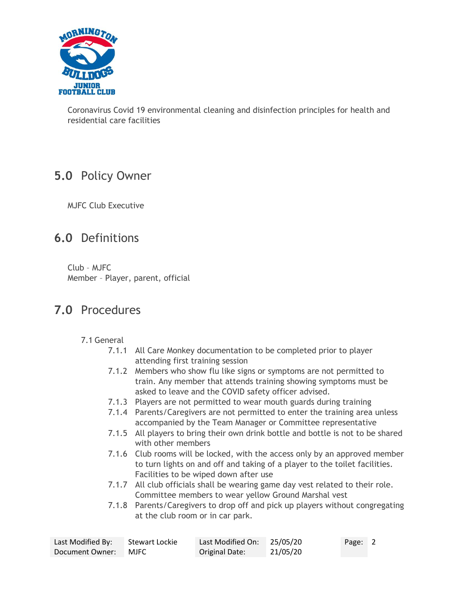

Coronavirus Covid 19 environmental cleaning and disinfection principles for health and residential care facilities

## **5.0** Policy Owner

MJFC Club Executive

## **6.0** Definitions

Club – MJFC Member – Player, parent, official

### **7.0** Procedures

- 7.1 General
	- 7.1.1 All Care Monkey documentation to be completed prior to player attending first training session
	- 7.1.2 Members who show flu like signs or symptoms are not permitted to train. Any member that attends training showing symptoms must be asked to leave and the COVID safety officer advised.
	- 7.1.3 Players are not permitted to wear mouth guards during training
	- 7.1.4 Parents/Caregivers are not permitted to enter the training area unless accompanied by the Team Manager or Committee representative
	- 7.1.5 All players to bring their own drink bottle and bottle is not to be shared with other members
	- 7.1.6 Club rooms will be locked, with the access only by an approved member to turn lights on and off and taking of a player to the toilet facilities. Facilities to be wiped down after use
	- 7.1.7 All club officials shall be wearing game day vest related to their role. Committee members to wear yellow Ground Marshal vest
	- 7.1.8 Parents/Caregivers to drop off and pick up players without congregating at the club room or in car park.

| Last Modified By: | Stewart Lockie | Last Modified On: 25/05/20 |          | Page: 2 |  |
|-------------------|----------------|----------------------------|----------|---------|--|
| Document Owner:   | <b>MJFC</b>    | Original Date:             | 21/05/20 |         |  |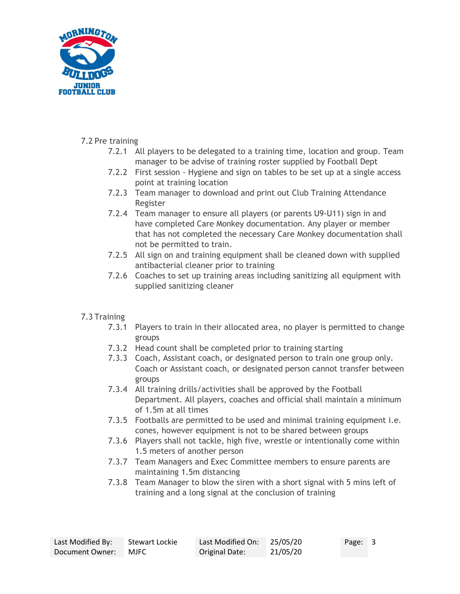

#### 7.2 Pre training

- 7.2.1 All players to be delegated to a training time, location and group. Team manager to be advise of training roster supplied by Football Dept
- 7.2.2 First session Hygiene and sign on tables to be set up at a single access point at training location
- 7.2.3 Team manager to download and print out Club Training Attendance Register
- 7.2.4 Team manager to ensure all players (or parents U9-U11) sign in and have completed Care Monkey documentation. Any player or member that has not completed the necessary Care Monkey documentation shall not be permitted to train.
- 7.2.5 All sign on and training equipment shall be cleaned down with supplied antibacterial cleaner prior to training
- 7.2.6 Coaches to set up training areas including sanitizing all equipment with supplied sanitizing cleaner

#### 7.3 Training

- 7.3.1 Players to train in their allocated area, no player is permitted to change groups
- 7.3.2 Head count shall be completed prior to training starting
- 7.3.3 Coach, Assistant coach, or designated person to train one group only. Coach or Assistant coach, or designated person cannot transfer between groups
- 7.3.4 All training drills/activities shall be approved by the Football Department. All players, coaches and official shall maintain a minimum of 1.5m at all times
- 7.3.5 Footballs are permitted to be used and minimal training equipment i.e. cones, however equipment is not to be shared between groups
- 7.3.6 Players shall not tackle, high five, wrestle or intentionally come within 1.5 meters of another person
- 7.3.7 Team Managers and Exec Committee members to ensure parents are maintaining 1.5m distancing
- 7.3.8 Team Manager to blow the siren with a short signal with 5 mins left of training and a long signal at the conclusion of training